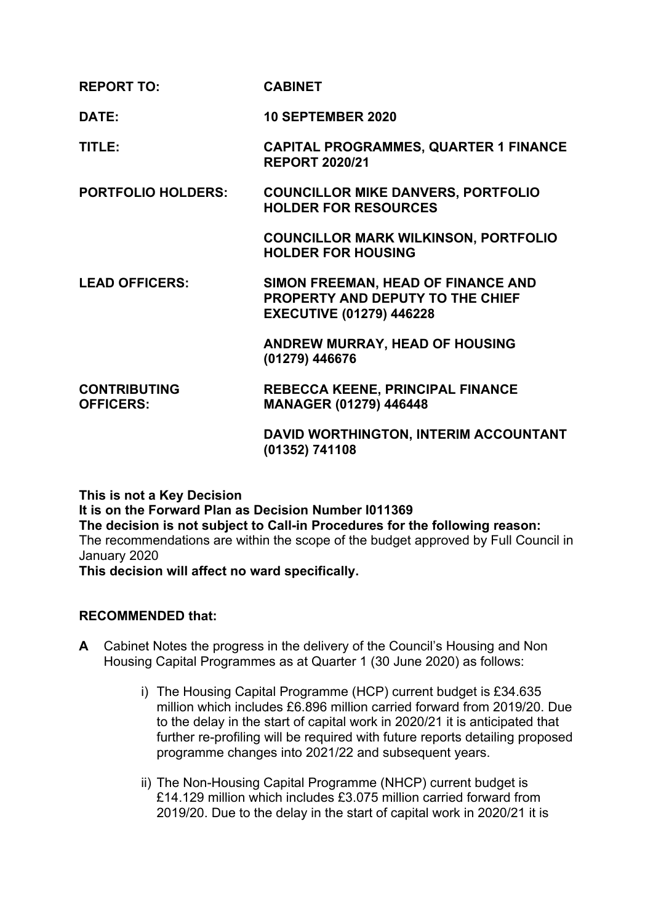| <b>REPORT TO:</b>                       | <b>CABINET</b>                                                                                            |
|-----------------------------------------|-----------------------------------------------------------------------------------------------------------|
| DATE:                                   | <b>10 SEPTEMBER 2020</b>                                                                                  |
| TITLE:                                  | <b>CAPITAL PROGRAMMES, QUARTER 1 FINANCE</b><br><b>REPORT 2020/21</b>                                     |
| <b>PORTFOLIO HOLDERS:</b>               | <b>COUNCILLOR MIKE DANVERS, PORTFOLIO</b><br><b>HOLDER FOR RESOURCES</b>                                  |
|                                         | <b>COUNCILLOR MARK WILKINSON, PORTFOLIO</b><br><b>HOLDER FOR HOUSING</b>                                  |
| <b>LEAD OFFICERS:</b>                   | SIMON FREEMAN, HEAD OF FINANCE AND<br>PROPERTY AND DEPUTY TO THE CHIEF<br><b>EXECUTIVE (01279) 446228</b> |
|                                         | <b>ANDREW MURRAY, HEAD OF HOUSING</b><br>(01279) 446676                                                   |
| <b>CONTRIBUTING</b><br><b>OFFICERS:</b> | <b>REBECCA KEENE, PRINCIPAL FINANCE</b><br><b>MANAGER (01279) 446448</b>                                  |
|                                         | DAVID WORTHINGTON, INTERIM ACCOUNTANT<br>(01352) 741108                                                   |

**This is not a Key Decision**

**It is on the Forward Plan as Decision Number I011369 The decision is not subject to Call-in Procedures for the following reason:** The recommendations are within the scope of the budget approved by Full Council in January 2020

**This decision will affect no ward specifically.**

# **RECOMMENDED that:**

- **A** Cabinet Notes the progress in the delivery of the Council's Housing and Non Housing Capital Programmes as at Quarter 1 (30 June 2020) as follows:
	- i) The Housing Capital Programme (HCP) current budget is £34.635 million which includes £6.896 million carried forward from 2019/20. Due to the delay in the start of capital work in 2020/21 it is anticipated that further re-profiling will be required with future reports detailing proposed programme changes into 2021/22 and subsequent years.
	- ii) The Non-Housing Capital Programme (NHCP) current budget is £14.129 million which includes £3.075 million carried forward from 2019/20. Due to the delay in the start of capital work in 2020/21 it is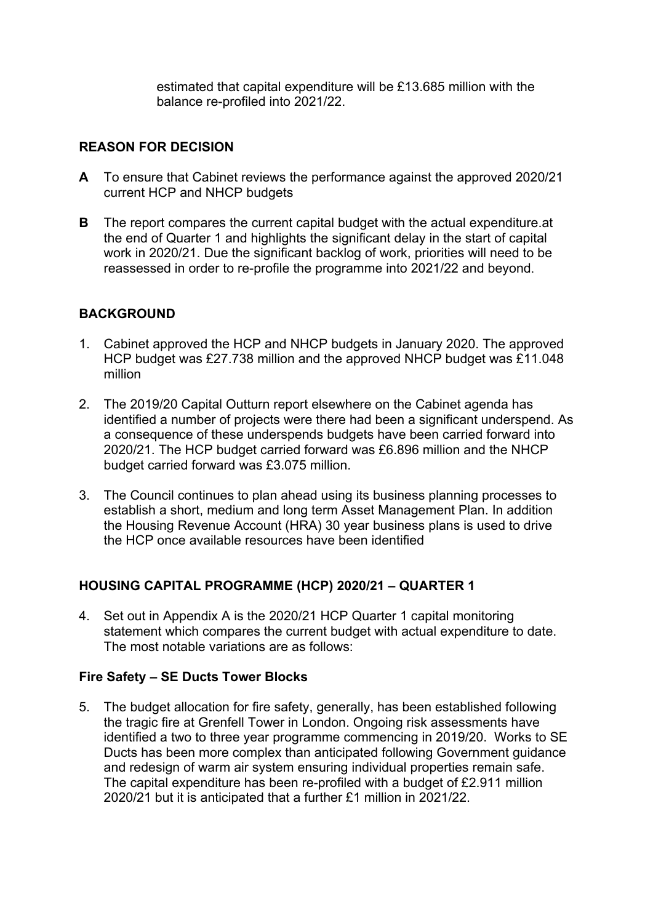estimated that capital expenditure will be £13.685 million with the balance re-profiled into 2021/22.

### **REASON FOR DECISION**

- **A** To ensure that Cabinet reviews the performance against the approved 2020/21 current HCP and NHCP budgets
- **B** The report compares the current capital budget with the actual expenditure.at the end of Quarter 1 and highlights the significant delay in the start of capital work in 2020/21. Due the significant backlog of work, priorities will need to be reassessed in order to re-profile the programme into 2021/22 and beyond.

# **BACKGROUND**

- 1. Cabinet approved the HCP and NHCP budgets in January 2020. The approved HCP budget was £27.738 million and the approved NHCP budget was £11.048 million
- 2. The 2019/20 Capital Outturn report elsewhere on the Cabinet agenda has identified a number of projects were there had been a significant underspend. As a consequence of these underspends budgets have been carried forward into 2020/21. The HCP budget carried forward was £6.896 million and the NHCP budget carried forward was £3.075 million.
- 3. The Council continues to plan ahead using its business planning processes to establish a short, medium and long term Asset Management Plan. In addition the Housing Revenue Account (HRA) 30 year business plans is used to drive the HCP once available resources have been identified

# **HOUSING CAPITAL PROGRAMME (HCP) 2020/21 – QUARTER 1**

4. Set out in Appendix A is the 2020/21 HCP Quarter 1 capital monitoring statement which compares the current budget with actual expenditure to date. The most notable variations are as follows:

### **Fire Safety – SE Ducts Tower Blocks**

5. The budget allocation for fire safety, generally, has been established following the tragic fire at Grenfell Tower in London. Ongoing risk assessments have identified a two to three year programme commencing in 2019/20. Works to SE Ducts has been more complex than anticipated following Government guidance and redesign of warm air system ensuring individual properties remain safe. The capital expenditure has been re-profiled with a budget of £2.911 million 2020/21 but it is anticipated that a further £1 million in 2021/22.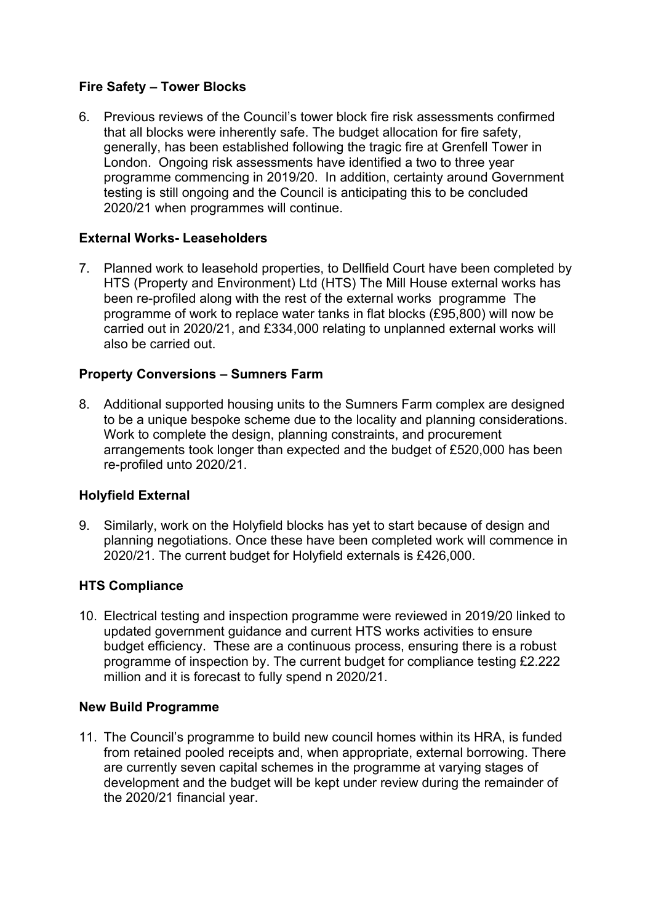# **Fire Safety – Tower Blocks**

6. Previous reviews of the Council's tower block fire risk assessments confirmed that all blocks were inherently safe. The budget allocation for fire safety, generally, has been established following the tragic fire at Grenfell Tower in London. Ongoing risk assessments have identified a two to three year programme commencing in 2019/20. In addition, certainty around Government testing is still ongoing and the Council is anticipating this to be concluded 2020/21 when programmes will continue.

# **External Works- Leaseholders**

7. Planned work to leasehold properties, to Dellfield Court have been completed by HTS (Property and Environment) Ltd (HTS) The Mill House external works has been re-profiled along with the rest of the external works programme The programme of work to replace water tanks in flat blocks (£95,800) will now be carried out in 2020/21, and £334,000 relating to unplanned external works will also be carried out.

# **Property Conversions – Sumners Farm**

8. Additional supported housing units to the Sumners Farm complex are designed to be a unique bespoke scheme due to the locality and planning considerations. Work to complete the design, planning constraints, and procurement arrangements took longer than expected and the budget of £520,000 has been re-profiled unto 2020/21.

# **Holyfield External**

9. Similarly, work on the Holyfield blocks has yet to start because of design and planning negotiations. Once these have been completed work will commence in 2020/21. The current budget for Holyfield externals is £426,000.

### **HTS Compliance**

10. Electrical testing and inspection programme were reviewed in 2019/20 linked to updated government guidance and current HTS works activities to ensure budget efficiency. These are a continuous process, ensuring there is a robust programme of inspection by. The current budget for compliance testing £2.222 million and it is forecast to fully spend n 2020/21.

### **New Build Programme**

11. The Council's programme to build new council homes within its HRA, is funded from retained pooled receipts and, when appropriate, external borrowing. There are currently seven capital schemes in the programme at varying stages of development and the budget will be kept under review during the remainder of the 2020/21 financial year.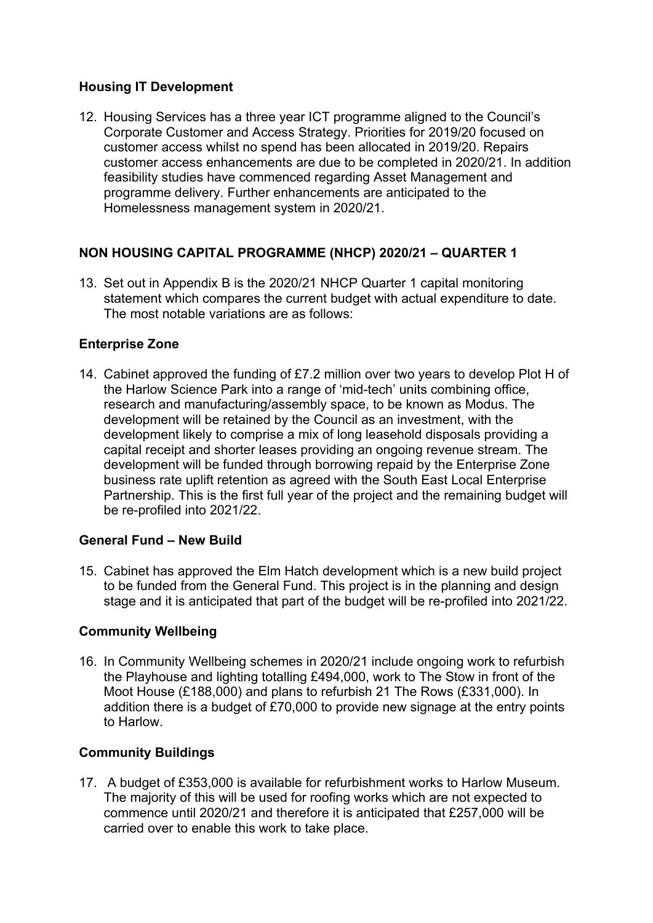# **Housing IT Development**

12. Housing Services has a three year ICT programme aligned to the Council's Corporate Customer and Access Strategy. Priorities for 2019/20 focused on customer access whilst no spend has been allocated in 2019/20. Repairs customer access enhancements are due to be completed in 2020/21. In addition feasibility studies have commenced regarding Asset Management and programme delivery. Further enhancements are anticipated to the Homelessness management system in 2020/21.

# **NON HOUSING CAPITAL PROGRAMME (NHCP) 2020/21 – QUARTER 1**

13. Set out in Appendix B is the 2020/21 NHCP Quarter 1 capital monitoring statement which compares the current budget with actual expenditure to date. The most notable variations are as follows:

# **Enterprise Zone**

14. Cabinet approved the funding of £7.2 million over two years to develop Plot H of the Harlow Science Park into a range of 'mid-tech' units combining office, research and manufacturing/assembly space, to be known as Modus. The development will be retained by the Council as an investment, with the development likely to comprise a mix of long leasehold disposals providing a capital receipt and shorter leases providing an ongoing revenue stream. The development will be funded through borrowing repaid by the Enterprise Zone business rate uplift retention as agreed with the South East Local Enterprise Partnership. This is the first full year of the project and the remaining budget will be re-profiled into 2021/22.

# **General Fund – New Build**

15. Cabinet has approved the Elm Hatch development which is a new build project to be funded from the General Fund. This project is in the planning and design stage and it is anticipated that part of the budget will be re-profiled into 2021/22.

# **Community Wellbeing**

16. In Community Wellbeing schemes in 2020/21 include ongoing work to refurbish the Playhouse and lighting totalling £494,000, work to The Stow in front of the Moot House (£188,000) and plans to refurbish 21 The Rows (£331,000). In addition there is a budget of £70,000 to provide new signage at the entry points to Harlow.

# **Community Buildings**

17. A budget of £353,000 is available for refurbishment works to Harlow Museum. The majority of this will be used for roofing works which are not expected to commence until 2020/21 and therefore it is anticipated that £257,000 will be carried over to enable this work to take place.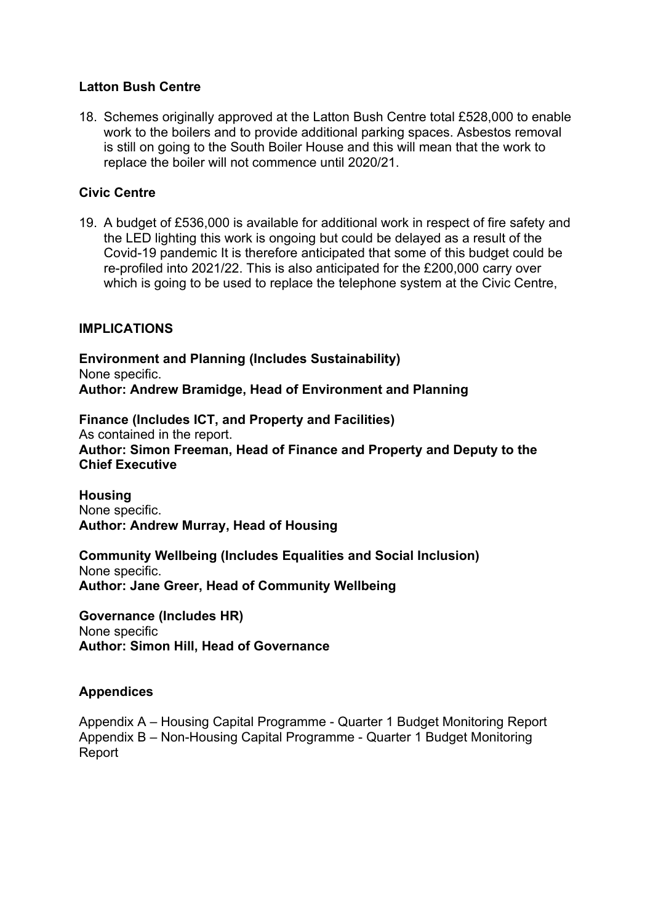### **Latton Bush Centre**

18. Schemes originally approved at the Latton Bush Centre total £528,000 to enable work to the boilers and to provide additional parking spaces. Asbestos removal is still on going to the South Boiler House and this will mean that the work to replace the boiler will not commence until 2020/21.

### **Civic Centre**

19. A budget of £536,000 is available for additional work in respect of fire safety and the LED lighting this work is ongoing but could be delayed as a result of the Covid-19 pandemic It is therefore anticipated that some of this budget could be re-profiled into 2021/22. This is also anticipated for the £200,000 carry over which is going to be used to replace the telephone system at the Civic Centre,

### **IMPLICATIONS**

**Environment and Planning (Includes Sustainability)** None specific. **Author: Andrew Bramidge, Head of Environment and Planning**

**Finance (Includes ICT, and Property and Facilities)** As contained in the report. **Author: Simon Freeman, Head of Finance and Property and Deputy to the Chief Executive**

**Housing** None specific. **Author: Andrew Murray, Head of Housing**

**Community Wellbeing (Includes Equalities and Social Inclusion)** None specific. **Author: Jane Greer, Head of Community Wellbeing**

**Governance (Includes HR)** None specific **Author: Simon Hill, Head of Governance**

### **Appendices**

Appendix A – Housing Capital Programme - Quarter 1 Budget Monitoring Report Appendix B – Non-Housing Capital Programme - Quarter 1 Budget Monitoring Report